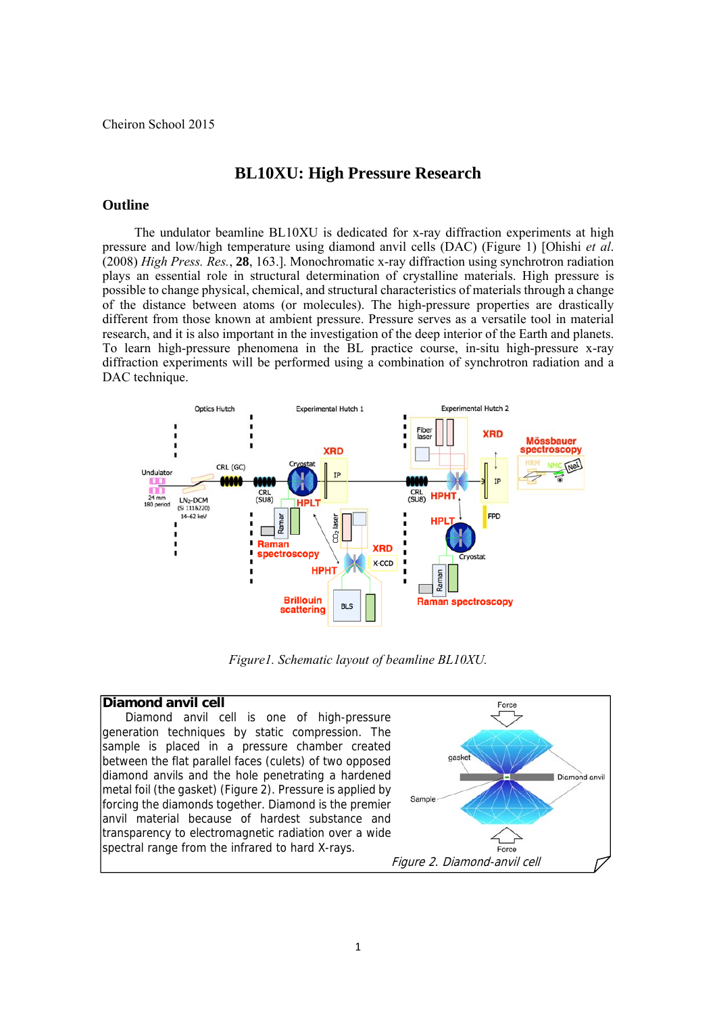# **BL10XU: High Pressure Research**

#### **Outline**

 The undulator beamline BL10XU is dedicated for x-ray diffraction experiments at high pressure and low/high temperature using diamond anvil cells (DAC) (Figure 1) [Ohishi *et al*. (2008) *High Press. Res.*, **28**, 163.]. Monochromatic x-ray diffraction using synchrotron radiation plays an essential role in structural determination of crystalline materials. High pressure is possible to change physical, chemical, and structural characteristics of materials through a change of the distance between atoms (or molecules). The high-pressure properties are drastically different from those known at ambient pressure. Pressure serves as a versatile tool in material research, and it is also important in the investigation of the deep interior of the Earth and planets. To learn high-pressure phenomena in the BL practice course, in-situ high-pressure x-ray diffraction experiments will be performed using a combination of synchrotron radiation and a DAC technique.



*Figure1. Schematic layout of beamline BL10XU.* 

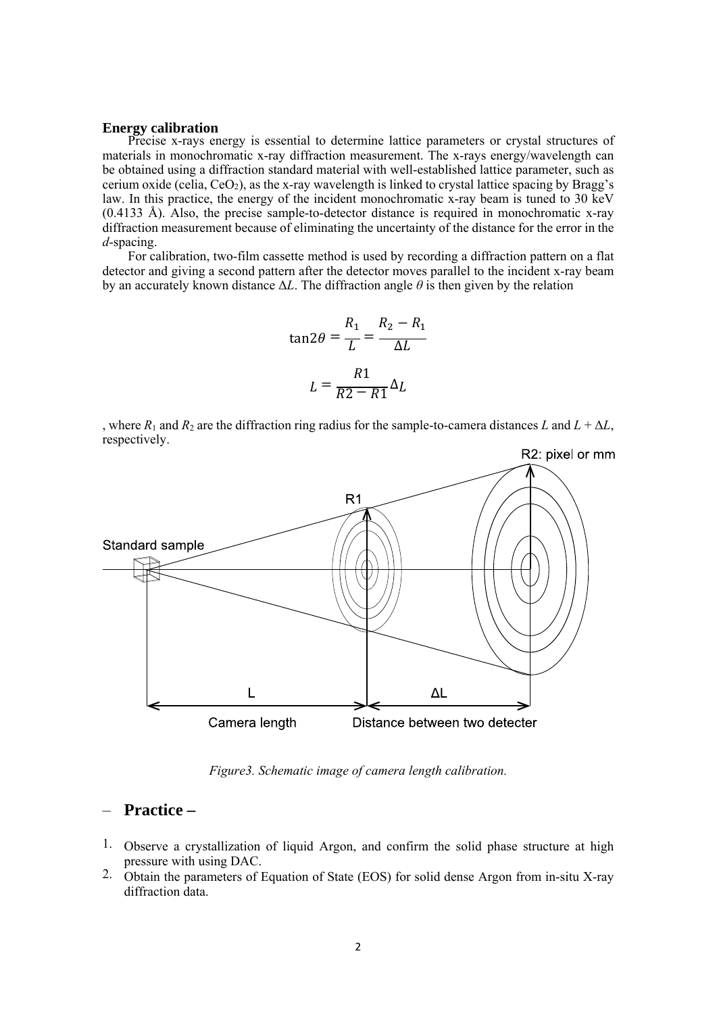#### **Energy calibration**

Precise x-rays energy is essential to determine lattice parameters or crystal structures of materials in monochromatic x-ray diffraction measurement. The x-rays energy/wavelength can be obtained using a diffraction standard material with well-established lattice parameter, such as cerium oxide (celia,  $CeO<sub>2</sub>$ ), as the x-ray wavelength is linked to crystal lattice spacing by Bragg's law. In this practice, the energy of the incident monochromatic x-ray beam is tuned to 30 keV (0.4133 Å). Also, the precise sample-to-detector distance is required in monochromatic x-ray diffraction measurement because of eliminating the uncertainty of the distance for the error in the *d*-spacing.

For calibration, two-film cassette method is used by recording a diffraction pattern on a flat detector and giving a second pattern after the detector moves parallel to the incident x-ray beam by an accurately known distance  $\Delta L$ . The diffraction angle  $\theta$  is then given by the relation

$$
\tan 2\theta = \frac{R_1}{L} = \frac{R_2 - R_1}{\Delta L}
$$

$$
L = \frac{R1}{R2 - R1} \Delta L
$$

, where  $R_1$  and  $R_2$  are the diffraction ring radius for the sample-to-camera distances  $L$  and  $L + \Delta L$ , respectively.



*Figure3. Schematic image of camera length calibration.* 

# – **Practice –**

- 1. Observe a crystallization of liquid Argon, and confirm the solid phase structure at high pressure with using DAC.
- 2. Obtain the parameters of Equation of State (EOS) for solid dense Argon from in-situ X-ray diffraction data.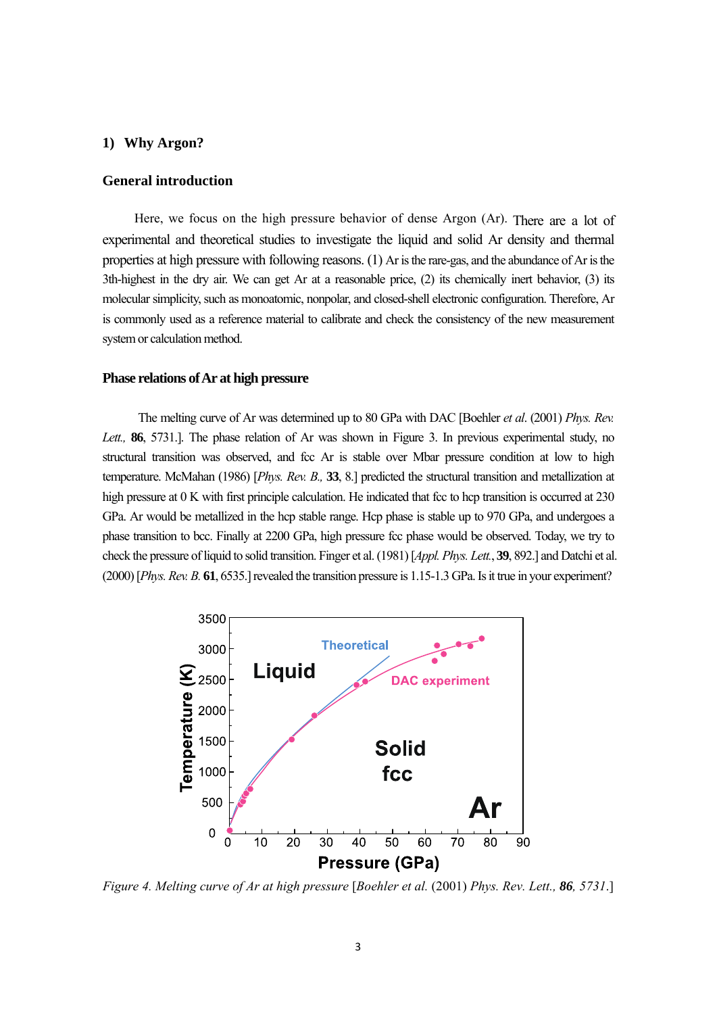# **1) Why Argon?**

# **General introduction**

 Here, we focus on the high pressure behavior of dense Argon (Ar). There are a lot of experimental and theoretical studies to investigate the liquid and solid Ar density and thermal properties at high pressure with following reasons. (1) Ar is the rare-gas, and the abundance of Ar is the 3th-highest in the dry air. We can get Ar at a reasonable price, (2) its chemically inert behavior, (3) its molecular simplicity, such as monoatomic, nonpolar, and closed-shell electronic configuration. Therefore, Ar is commonly used as a reference material to calibrate and check the consistency of the new measurement system or calculation method.

## **Phase relations of Ar at high pressure**

 The melting curve of Ar was determined up to 80 GPa with DAC [Boehler *et al*. (2001) *Phys. Rev. Lett.,* **86**, 5731.]. The phase relation of Ar was shown in Figure 3. In previous experimental study, no structural transition was observed, and fcc Ar is stable over Mbar pressure condition at low to high temperature. McMahan (1986) [*Phys. Rev. B.,* **33**, 8.] predicted the structural transition and metallization at high pressure at 0 K with first principle calculation. He indicated that fcc to hcp transition is occurred at 230 GPa. Ar would be metallized in the hcp stable range. Hcp phase is stable up to 970 GPa, and undergoes a phase transition to bcc. Finally at 2200 GPa, high pressure fcc phase would be observed. Today, we try to check the pressure of liquid to solid transition. Finger et al. (1981) [*Appl. Phys. Lett.*, **39**, 892.] and Datchi et al. (2000) [*Phys. Rev. B.* **61**, 6535.] revealed the transition pressure is 1.15-1.3 GPa. Is it true in your experiment?



*Figure 4. Melting curve of Ar at high pressure* [*Boehler et al.* (2001) *Phys. Rev. Lett., 86, 5731*.]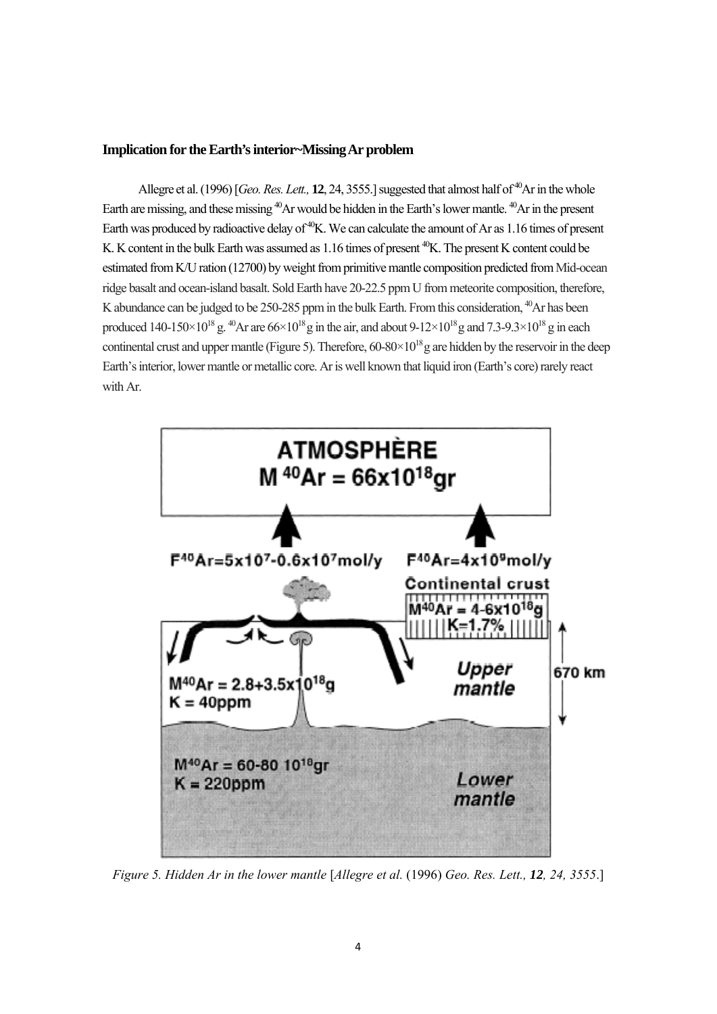## **Implication for the Earth's interior~Missing Ar problem**

Allegre et al. (1996) [*Geo. Res. Lett.*, **12**, 24, 3555.] suggested that almost half of <sup>40</sup>Ar in the whole Earth are missing, and these missing <sup>40</sup>Ar would be hidden in the Earth's lower mantle. <sup>40</sup>Ar in the present Earth was produced by radioactive delay of <sup>40</sup>K. We can calculate the amount of Ar as 1.16 times of present K. K content in the bulk Earth was assumed as 1.16 times of present <sup>40</sup>K. The present K content could be estimated from K/U ration (12700) by weight from primitive mantle composition predicted from Mid-ocean ridge basalt and ocean-island basalt. Sold Earth have 20-22.5 ppm U from meteorite composition, therefore, K abundance can be judged to be 250-285 ppm in the bulk Earth. From this consideration, <sup>40</sup>Ar has been produced 140-150 $\times$ 10<sup>18</sup> g. <sup>40</sup>Ar are 66 $\times$ 10<sup>18</sup> g in the air, and about 9-12 $\times$ 10<sup>18</sup> g and 7.3-9.3 $\times$ 10<sup>18</sup> g in each continental crust and upper mantle (Figure 5). Therefore,  $60-80\times10^{18}$  g are hidden by the reservoir in the deep Earth's interior, lower mantle or metallic core. Ar is well known that liquid iron (Earth's core) rarely react with Ar.



*Figure 5. Hidden Ar in the lower mantle* [*Allegre et al.* (1996) *Geo. Res. Lett., 12, 24, 3555*.]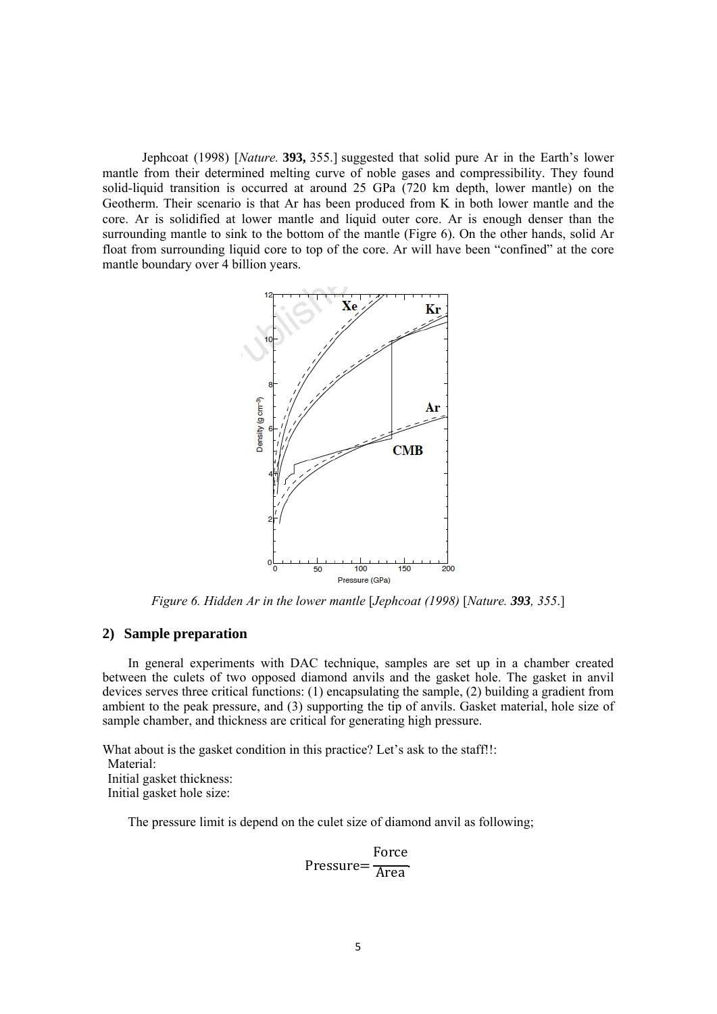Jephcoat (1998) [*Nature.* **393,** 355.] suggested that solid pure Ar in the Earth's lower mantle from their determined melting curve of noble gases and compressibility. They found solid-liquid transition is occurred at around 25 GPa (720 km depth, lower mantle) on the Geotherm. Their scenario is that Ar has been produced from K in both lower mantle and the core. Ar is solidified at lower mantle and liquid outer core. Ar is enough denser than the surrounding mantle to sink to the bottom of the mantle (Figre 6). On the other hands, solid Ar float from surrounding liquid core to top of the core. Ar will have been "confined" at the core mantle boundary over 4 billion years.



*Figure 6. Hidden Ar in the lower mantle* [*Jephcoat (1998)* [*Nature. 393, 355*.]

# **2) Sample preparation**

In general experiments with DAC technique, samples are set up in a chamber created between the culets of two opposed diamond anvils and the gasket hole. The gasket in anvil devices serves three critical functions: (1) encapsulating the sample, (2) building a gradient from ambient to the peak pressure, and (3) supporting the tip of anvils. Gasket material, hole size of sample chamber, and thickness are critical for generating high pressure.

What about is the gasket condition in this practice? Let's ask to the staff!!: Material: Initial gasket thickness: Initial gasket hole size:

The pressure limit is depend on the culet size of diamond anvil as following;

$$
Pressure = \frac{Force}{Area}
$$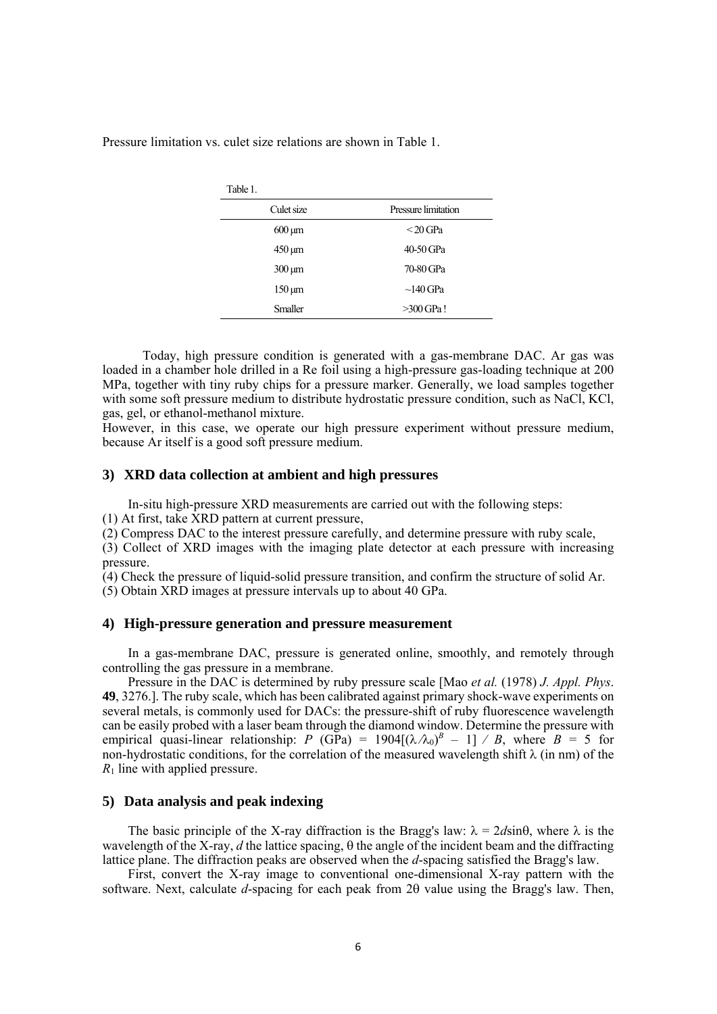Pressure limitation vs. culet size relations are shown in Table 1.

| Table 1.                 |                     |  |
|--------------------------|---------------------|--|
| Culet size               | Pressure limitation |  |
| $600 \,\mathrm{\upmu m}$ | $<$ 20 GPa          |  |
| $450 \,\mathrm{\upmu m}$ | 40-50 GPa           |  |
| $300 \mu m$              | 70-80 GPa           |  |
| $150 \,\mathrm{\upmu m}$ | $\sim$ 140 GPa      |  |
| <b>Smaller</b>           | $>300$ GPa!         |  |
|                          |                     |  |

 Today, high pressure condition is generated with a gas-membrane DAC. Ar gas was loaded in a chamber hole drilled in a Re foil using a high-pressure gas-loading technique at 200 MPa, together with tiny ruby chips for a pressure marker. Generally, we load samples together with some soft pressure medium to distribute hydrostatic pressure condition, such as NaCl, KCl, gas, gel, or ethanol-methanol mixture.

However, in this case, we operate our high pressure experiment without pressure medium, because Ar itself is a good soft pressure medium.

# **3) XRD data collection at ambient and high pressures**

In-situ high-pressure XRD measurements are carried out with the following steps:

(1) At first, take XRD pattern at current pressure,

(2) Compress DAC to the interest pressure carefully, and determine pressure with ruby scale,

(3) Collect of XRD images with the imaging plate detector at each pressure with increasing pressure.

 $(4)$  Check the pressure of liquid-solid pressure transition, and confirm the structure of solid Ar.

(5) Obtain XRD images at pressure intervals up to about 40 GPa.

#### **4) High-pressure generation and pressure measurement**

In a gas-membrane DAC, pressure is generated online, smoothly, and remotely through controlling the gas pressure in a membrane.

Pressure in the DAC is determined by ruby pressure scale [Mao *et al.* (1978) *J. Appl. Phys*. **49**, 3276.]. The ruby scale, which has been calibrated against primary shock-wave experiments on several metals, is commonly used for DACs: the pressure-shift of ruby fluorescence wavelength can be easily probed with a laser beam through the diamond window. Determine the pressure with empirical quasi-linear relationship: *P* (GPa) =  $1904[(\lambda/\lambda_0)^B - 1]$  / *B*, where *B* = 5 for non-hydrostatic conditions, for the correlation of the measured wavelength shift  $\lambda$  (in nm) of the *R*1 line with applied pressure.

# **5) Data analysis and peak indexing**

The basic principle of the X-ray diffraction is the Bragg's law:  $\lambda = 2d\sin\theta$ , where  $\lambda$  is the wavelength of the X-ray,  $d$  the lattice spacing,  $\theta$  the angle of the incident beam and the diffracting lattice plane. The diffraction peaks are observed when the *d*-spacing satisfied the Bragg's law.

First, convert the X-ray image to conventional one-dimensional X-ray pattern with the software. Next, calculate  $d$ -spacing for each peak from  $2\theta$  value using the Bragg's law. Then,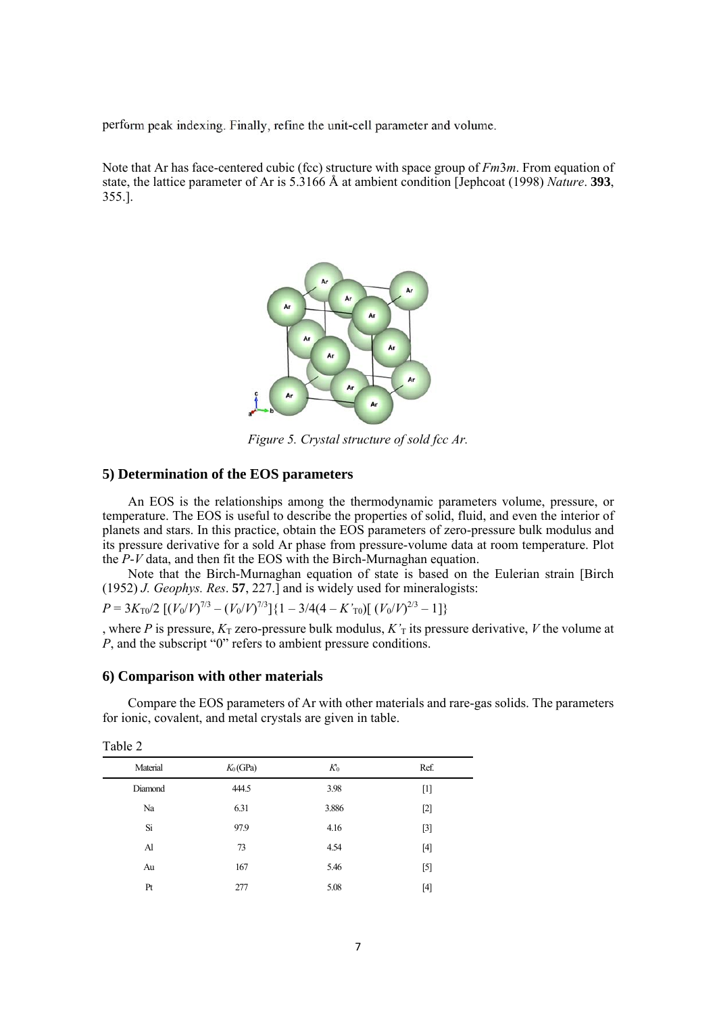perform peak indexing. Finally, refine the unit-cell parameter and volume.

Note that Ar has face-centered cubic (fcc) structure with space group of *Fm*3*m*. From equation of state, the lattice parameter of Ar is 5.3166 Å at ambient condition [Jephcoat (1998) *Nature*. **393**, 355.].



*Figure 5. Crystal structure of sold fcc Ar.* 

## **5) Determination of the EOS parameters**

An EOS is the relationships among the thermodynamic parameters volume, pressure, or temperature. The EOS is useful to describe the properties of solid, fluid, and even the interior of planets and stars. In this practice, obtain the EOS parameters of zero-pressure bulk modulus and its pressure derivative for a sold Ar phase from pressure-volume data at room temperature. Plot the *P*-*V* data, and then fit the EOS with the Birch-Murnaghan equation.

Note that the Birch-Murnaghan equation of state is based on the Eulerian strain [Birch (1952) *J. Geophys. Res*. **57**, 227.] and is widely used for mineralogists:

 $P = 3K_{\text{T0}}/2 \left[ (V_0/V)^{7/3} - (V_0/V)^{7/3} \right] \{1 - 3/4(4 - K \cdot \text{t}) \left[ (V_0/V)^{2/3} - 1 \right] \}$ 

, where *P* is pressure,  $K_T$  zero-pressure bulk modulus,  $K_T$  its pressure derivative, *V* the volume at *P*, and the subscript "0" refers to ambient pressure conditions.

#### **6) Comparison with other materials**

Compare the EOS parameters of Ar with other materials and rare-gas solids. The parameters for ionic, covalent, and metal crystals are given in table.

| Material<br>$K_0$ (GPa)<br>Ref.<br>$K_0$<br>444.5<br>3.98<br>Diamond<br>$[1]$<br>6.31<br>Na<br>3.886<br>$[2]$<br>Si<br>97.9<br>$[3]$<br>4.16<br>4.54<br>73<br>$[4]$<br>Al<br>167<br>5.46<br>$[5]$<br>Au<br>5.08<br>[4]<br>Pt<br>277 | $10010 - 100$ |  |  |
|-------------------------------------------------------------------------------------------------------------------------------------------------------------------------------------------------------------------------------------|---------------|--|--|
|                                                                                                                                                                                                                                     |               |  |  |
|                                                                                                                                                                                                                                     |               |  |  |
|                                                                                                                                                                                                                                     |               |  |  |
|                                                                                                                                                                                                                                     |               |  |  |
|                                                                                                                                                                                                                                     |               |  |  |
|                                                                                                                                                                                                                                     |               |  |  |
|                                                                                                                                                                                                                                     |               |  |  |